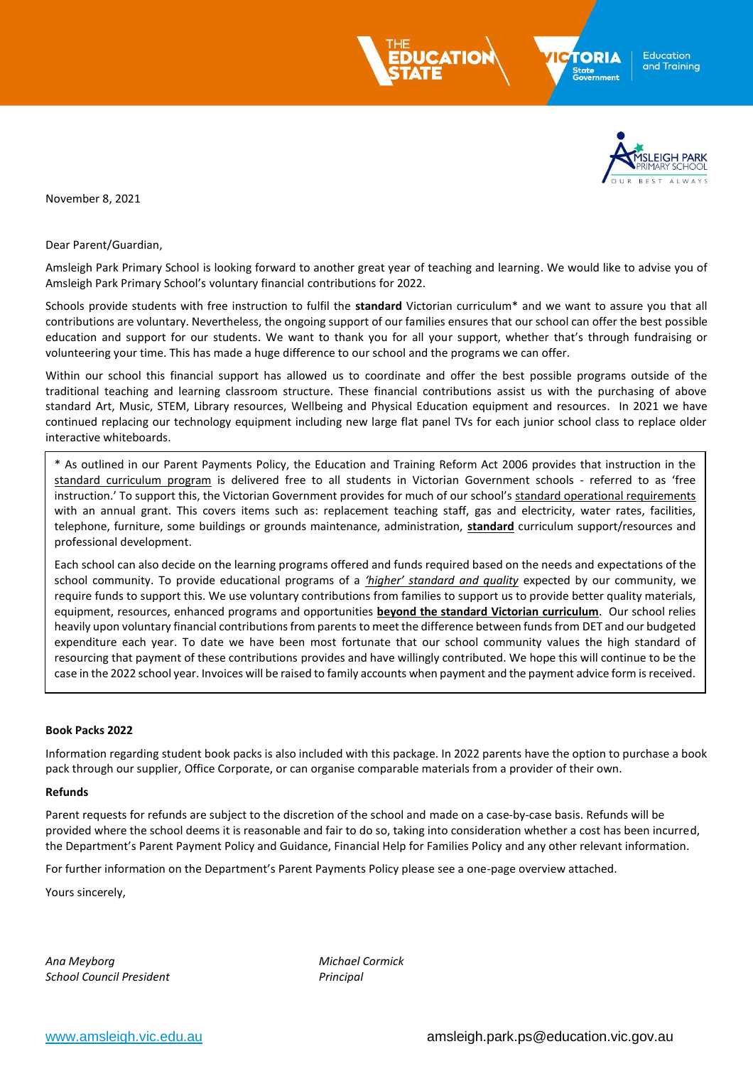



November 8, 2021

Dear Parent/Guardian,

Amsleigh Park Primary School is looking forward to another great year of teaching and learning. We would like to advise you of Amsleigh Park Primary School's voluntary financial contributions for 2022.

Schools provide students with free instruction to fulfil the **standard** Victorian curriculum\* and we want to assure you that all contributions are voluntary. Nevertheless, the ongoing support of our families ensures that our school can offer the best possible education and support for our students. We want to thank you for all your support, whether that's through fundraising or volunteering your time. This has made a huge difference to our school and the programs we can offer.

Within our school this financial support has allowed us to coordinate and offer the best possible programs outside of the traditional teaching and learning classroom structure. These financial contributions assist us with the purchasing of above standard Art, Music, STEM, Library resources, Wellbeing and Physical Education equipment and resources. In 2021 we have continued replacing our technology equipment including new large flat panel TVs for each junior school class to replace older interactive whiteboards.

\* As outlined in our Parent Payments Policy, the Education and Training Reform Act 2006 provides that instruction in the standard curriculum program is delivered free to all students in Victorian Government schools - referred to as 'free instruction.' To support this, the Victorian Government provides for much of our school's standard operational requirements with an annual grant. This covers items such as: replacement teaching staff, gas and electricity, water rates, facilities, telephone, furniture, some buildings or grounds maintenance, administration, **standard** curriculum support/resources and professional development.

Each school can also decide on the learning programs offered and funds required based on the needs and expectations of the school community. To provide educational programs of a *'higher' standard and quality* expected by our community, we require funds to support this. We use voluntary contributions from families to support us to provide better quality materials, equipment, resources, enhanced programs and opportunities **beyond the standard Victorian curriculum**. Our school relies heavily upon voluntary financial contributions from parents to meet the difference between funds from DET and our budgeted expenditure each year. To date we have been most fortunate that our school community values the high standard of resourcing that payment of these contributions provides and have willingly contributed. We hope this will continue to be the case in the 2022 school year. Invoices will be raised to family accounts when payment and the payment advice form is received.

#### **Book Packs 2022**

Information regarding student book packs is also included with this package. In 2022 parents have the option to purchase a book pack through our supplier, Office Corporate, or can organise comparable materials from a provider of their own.

#### **Refunds**

Parent requests for refunds are subject to the discretion of the school and made on a case-by-case basis. Refunds will be provided where the school deems it is reasonable and fair to do so, taking into consideration whether a cost has been incurred, the Department's Parent Payment Policy and Guidance, Financial Help for Families Policy and any other relevant information.

For further information on the Department's Parent Payments Policy please see a one-page overview attached.

Yours sincerely,

*Ana Meyborg Michael Cormick School Council President Principal*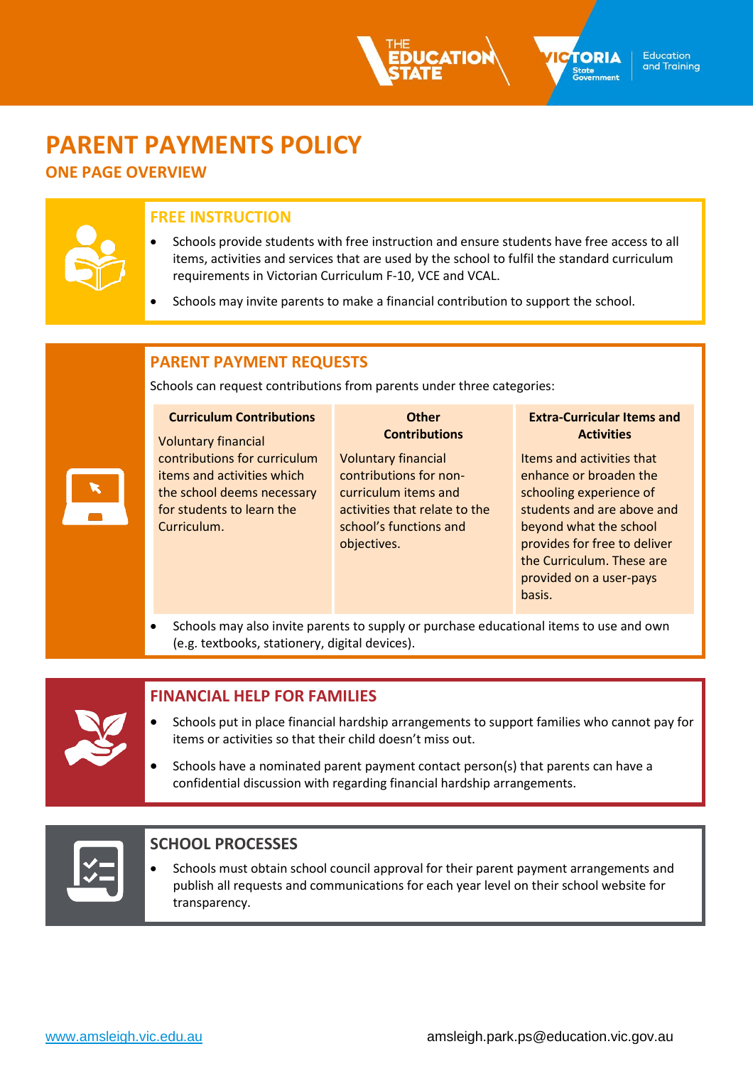# **PARENT PAYMENTS POLICY**

# **ONE PAGE OVERVIEW**

# **FREE INSTRUCTION**

- Schools provide students with free instruction and ensure students have free access to all items, activities and services that are used by the school to fulfil the standard curriculum requirements in Victorian Curriculum F-10, VCE and VCAL.
- Schools may invite parents to make a financial contribution to support the school.

# **PARENT PAYMENT REQUESTS**

Schools can request contributions from parents under three categories:

| <b>Curriculum Contributions</b><br><b>Voluntary financial</b> | Other<br><b>Contributions</b> | <b>Extra-Curricular Items and</b><br><b>Activities</b> |
|---------------------------------------------------------------|-------------------------------|--------------------------------------------------------|
| contributions for curriculum                                  | <b>Voluntary financial</b>    | Items and activities that                              |
| items and activities which                                    | contributions for non-        | enhance or broaden the                                 |
| the school deems necessary                                    | curriculum items and          | schooling experience of                                |
| for students to learn the                                     | activities that relate to the | students and are above and                             |
| Curriculum.                                                   | school's functions and        | beyond what the school                                 |
|                                                               | objectives.                   | provides for free to deliver                           |
|                                                               |                               | the Curriculum. These are                              |
|                                                               |                               | provided on a user-pays                                |
|                                                               |                               | basis.                                                 |

• Schools may also invite parents to supply or purchase educational items to use and own (e.g. textbooks, stationery, digital devices).



## **FINANCIAL HELP FOR FAMILIES**

- Schools put in place financial hardship arrangements to support families who cannot pay for items or activities so that their child doesn't miss out.
- Schools have a nominated parent payment contact person(s) that parents can have a confidential discussion with regarding financial hardship arrangements.



# **SCHOOL PROCESSES**

• Schools must obtain school council approval for their parent payment arrangements and publish all requests and communications for each year level on their school website for transparency.



**TION** 

**TORIA** 

Stat<mark>e</mark><br>Government

Education and Training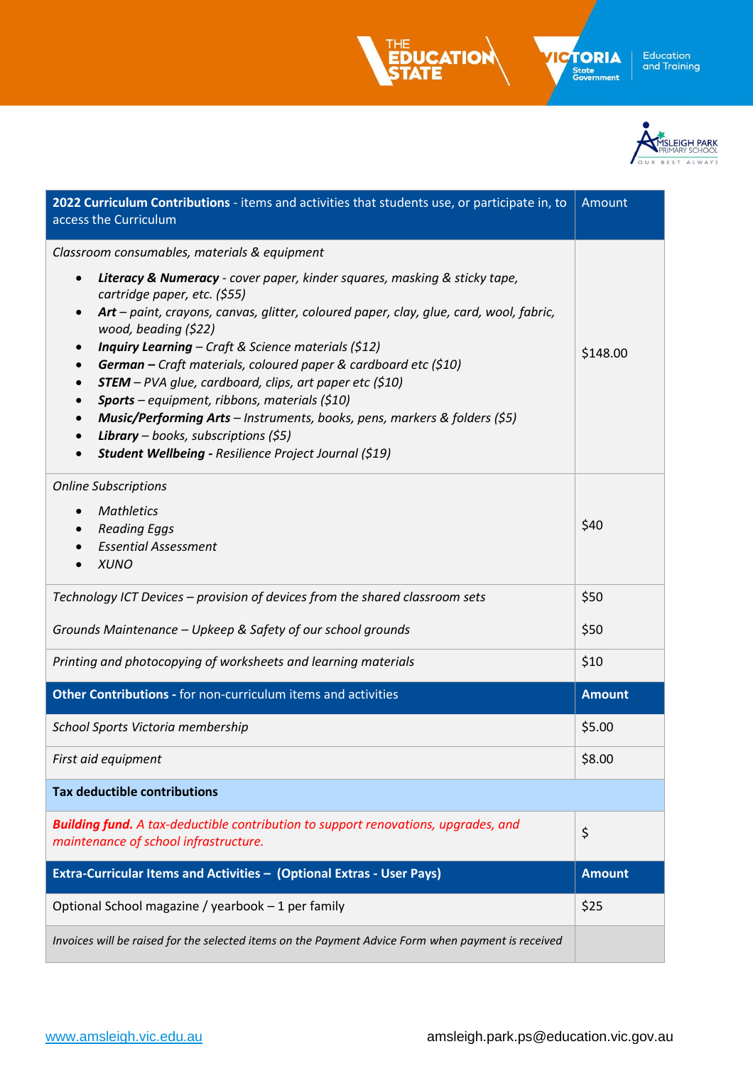



| 2022 Curriculum Contributions - items and activities that students use, or participate in, to<br>access the Curriculum                                                                                                                                                                                                                                                                                                                                                                                                                                                                                                                                                                                                                                              | Amount        |
|---------------------------------------------------------------------------------------------------------------------------------------------------------------------------------------------------------------------------------------------------------------------------------------------------------------------------------------------------------------------------------------------------------------------------------------------------------------------------------------------------------------------------------------------------------------------------------------------------------------------------------------------------------------------------------------------------------------------------------------------------------------------|---------------|
| Classroom consumables, materials & equipment<br>Literacy & Numeracy - cover paper, kinder squares, masking & sticky tape,<br>$\bullet$<br>cartridge paper, etc. (\$55)<br>Art - paint, crayons, canvas, glitter, coloured paper, clay, glue, card, wool, fabric,<br>$\bullet$<br>wood, beading (\$22)<br>Inquiry Learning - Craft & Science materials (\$12)<br>German - Craft materials, coloured paper & cardboard etc (\$10)<br>$STEM – PVA glue, cardboard, chips, art paper etc ($10)$<br><b>Sports</b> – equipment, ribbons, materials (\$10)<br>$\bullet$<br>Music/Performing Arts - Instruments, books, pens, markers & folders (\$5)<br>$\bullet$<br><b>Library</b> – books, subscriptions $(55)$<br>Student Wellbeing - Resilience Project Journal (\$19) | \$148.00      |
| <b>Online Subscriptions</b><br><b>Mathletics</b><br>$\bullet$<br><b>Reading Eggs</b><br>$\bullet$<br><b>Essential Assessment</b><br><b>XUNO</b>                                                                                                                                                                                                                                                                                                                                                                                                                                                                                                                                                                                                                     | \$40          |
| Technology ICT Devices - provision of devices from the shared classroom sets                                                                                                                                                                                                                                                                                                                                                                                                                                                                                                                                                                                                                                                                                        | \$50          |
| Grounds Maintenance - Upkeep & Safety of our school grounds                                                                                                                                                                                                                                                                                                                                                                                                                                                                                                                                                                                                                                                                                                         | \$50          |
| Printing and photocopying of worksheets and learning materials                                                                                                                                                                                                                                                                                                                                                                                                                                                                                                                                                                                                                                                                                                      | \$10          |
| Other Contributions - for non-curriculum items and activities                                                                                                                                                                                                                                                                                                                                                                                                                                                                                                                                                                                                                                                                                                       | <b>Amount</b> |
| School Sports Victoria membership                                                                                                                                                                                                                                                                                                                                                                                                                                                                                                                                                                                                                                                                                                                                   | \$5.00        |
| First aid equipment                                                                                                                                                                                                                                                                                                                                                                                                                                                                                                                                                                                                                                                                                                                                                 | \$8.00        |
| <b>Tax deductible contributions</b>                                                                                                                                                                                                                                                                                                                                                                                                                                                                                                                                                                                                                                                                                                                                 |               |
| <b>Building fund.</b> A tax-deductible contribution to support renovations, upgrades, and<br>maintenance of school infrastructure.                                                                                                                                                                                                                                                                                                                                                                                                                                                                                                                                                                                                                                  | \$            |
| Extra-Curricular Items and Activities - (Optional Extras - User Pays)                                                                                                                                                                                                                                                                                                                                                                                                                                                                                                                                                                                                                                                                                               | <b>Amount</b> |
| Optional School magazine / yearbook - 1 per family                                                                                                                                                                                                                                                                                                                                                                                                                                                                                                                                                                                                                                                                                                                  | \$25          |
| Invoices will be raised for the selected items on the Payment Advice Form when payment is received                                                                                                                                                                                                                                                                                                                                                                                                                                                                                                                                                                                                                                                                  |               |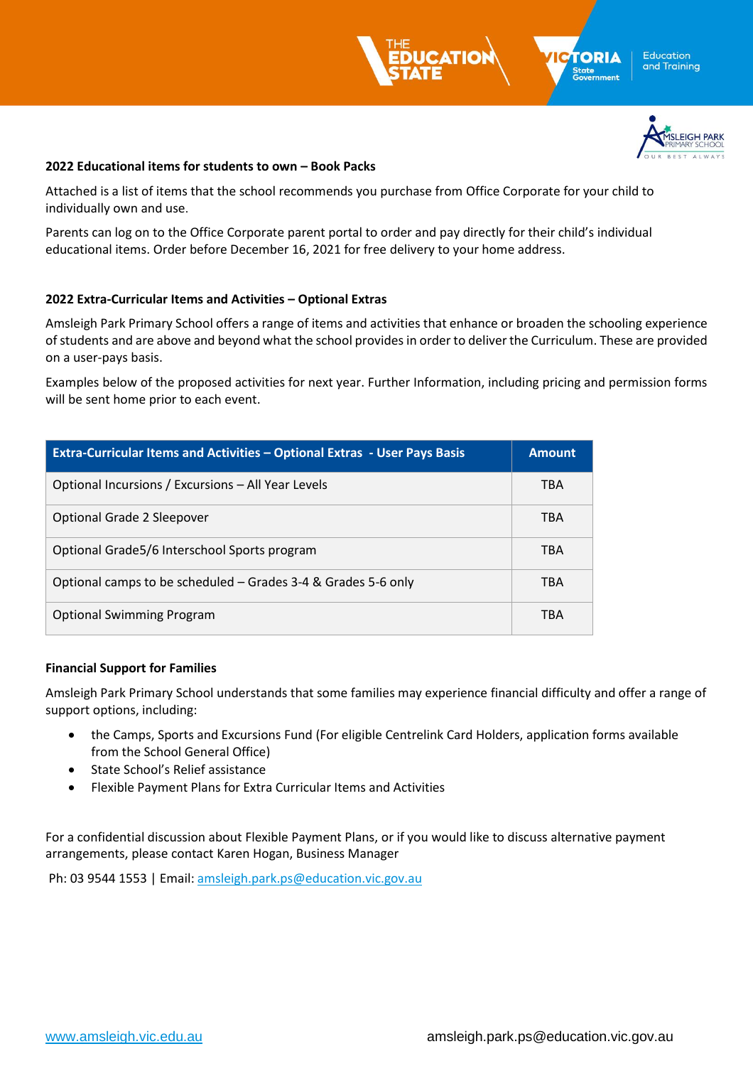



#### **2022 Educational items for students to own – Book Packs**

Attached is a list of items that the school recommends you purchase from Office Corporate for your child to individually own and use.

Parents can log on to the Office Corporate parent portal to order and pay directly for their child's individual educational items. Order before December 16, 2021 for free delivery to your home address.

### **2022 Extra-Curricular Items and Activities – Optional Extras**

Amsleigh Park Primary School offers a range of items and activities that enhance or broaden the schooling experience of students and are above and beyond what the school provides in order to deliver the Curriculum. These are provided on a user-pays basis.

Examples below of the proposed activities for next year. Further Information, including pricing and permission forms will be sent home prior to each event.

| <b>Extra-Curricular Items and Activities - Optional Extras - User Pays Basis</b> | <b>Amount</b> |
|----------------------------------------------------------------------------------|---------------|
| Optional Incursions / Excursions - All Year Levels                               | <b>TBA</b>    |
| Optional Grade 2 Sleepover                                                       | <b>TBA</b>    |
| Optional Grade 5/6 Interschool Sports program                                    | <b>TBA</b>    |
| Optional camps to be scheduled - Grades 3-4 & Grades 5-6 only                    | <b>TBA</b>    |
| <b>Optional Swimming Program</b>                                                 | TBA           |

### **Financial Support for Families**

Amsleigh Park Primary School understands that some families may experience financial difficulty and offer a range of support options, including:

- the Camps, Sports and Excursions Fund (For eligible Centrelink Card Holders, application forms available from the School General Office)
- State School's Relief assistance
- Flexible Payment Plans for Extra Curricular Items and Activities

For a confidential discussion about Flexible Payment Plans, or if you would like to discuss alternative payment arrangements, please contact Karen Hogan, Business Manager

Ph: 03 9544 1553 | Email: [amsleigh.park.ps@education.vic.gov.au](mailto:amsleigh.park.ps@education.vic.gov.au)